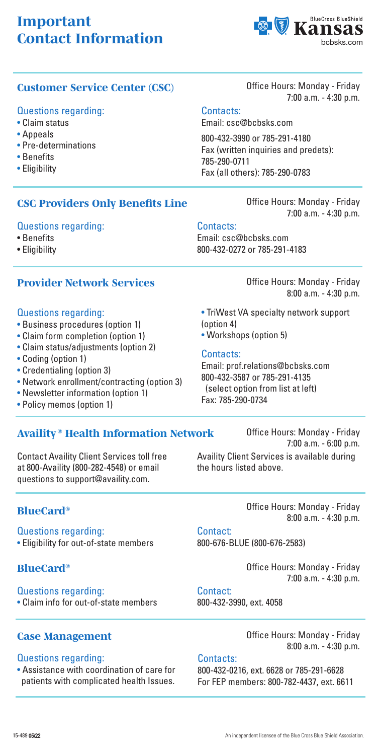# *Important Contact Information*



# **Customer Service Center (CSC)** Office Hours: Monday - Friday

### Questions regarding:

- Claim status
- Appeals
- Pre-determinations
- Benefits
- Eligibility

### *CSC Providers Only Benefits Line*

#### Questions regarding:

- Benefits
- Eligibility

# *Provider Network Services*

#### Questions regarding:

- Business procedures (option 1)
- Claim form completion (option 1)
- Claim status/adjustments (option 2)
- Coding (option 1)
- Credentialing (option 3)
- Network enrollment/contracting (option 3)
- Newsletter information (option 1)
- Policy memos (option 1)

# *Availity ® Health Information Network*

Contact Availity Client Services toll free at 800-Availity (800-282-4548) or email questions to support@availity.com.

# *BlueCard®*

Questions regarding: • Eligibility for out-of-state members

Questions regarding: • Claim info for out-of-state members

#### Questions regarding:

• Assistance with coordination of care for patients with complicated health Issues.

7:00 a.m. - 4:30 p.m.

# Contacts:

Email: csc@bcbsks.com

800-432-3990 or 785-291-4180 Fax (written inquiries and predets): 785-290-0711 Fax (all others): 785-290-0783

> Office Hours: Monday - Friday 7:00 a.m. - 4:30 p.m.

# Contacts:

Email: csc@bcbsks.com 800-432-0272 or 785-291-4183

> Office Hours: Monday - Friday 8:00 a.m. - 4:30 p.m.

- TriWest VA specialty network support (option 4)
- Workshops (option 5)

#### Contacts:

Email: prof.relations@bcbsks.com 800-432-3587 or 785-291-4135 (select option from list at left) Fax: 785-290-0734

Office Hours: Monday - Friday 7:00 a.m. - 6:00 p.m. Availity Client Services is available during the hours listed above.

> Office Hours: Monday - Friday 8:00 a.m. - 4:30 p.m.

Contact: 800-676-BLUE (800-676-2583)

**BlueCard<sup>®</sup> Card**<sup>®</sup> **Constanting Constanting Constanting Office Hours: Monday - Friday** 7:00 a.m. - 4:30 p.m.

### Contact:

800-432-3990, ext. 4058

**Case Management Case Management Case Management Case Management Case I** 8:00 a.m. - 4:30 p.m.

#### Contacts:

800-432-0216, ext. 6628 or 785-291-6628 For FEP members: 800-782-4437, ext. 6611